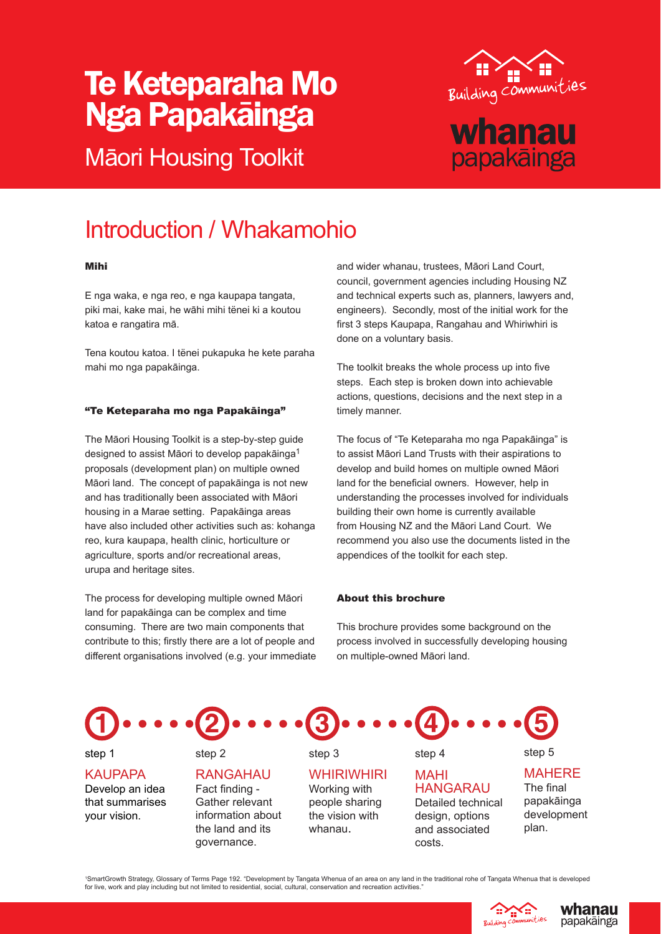# Te Keteparaha Mo Nga Papakāinga

Māori Housing Toolkit



## Introduction / Whakamohio

#### Mihi

E nga waka, e nga reo, e nga kaupapa tangata, piki mai, kake mai, he wāhi mihi tënei ki a koutou katoa e rangatira mā.

Tena koutou katoa. I tënei pukapuka he kete paraha mahi mo nga papakāinga.

#### "Te Keteparaha mo nga Papakāinga"

The Māori Housing Toolkit is a step-by-step guide designed to assist Māori to develop papakāinga<sup>1</sup> proposals (development plan) on multiple owned Māori land. The concept of papakāinga is not new and has traditionally been associated with Māori housing in a Marae setting. Papakāinga areas have also included other activities such as: kohanga reo, kura kaupapa, health clinic, horticulture or agriculture, sports and/or recreational areas, urupa and heritage sites.

The process for developing multiple owned Māori land for papakāinga can be complex and time consuming. There are two main components that contribute to this; firstly there are a lot of people and different organisations involved (e.g. your immediate

step 2

and wider whanau, trustees, Māori Land Court, council, government agencies including Housing NZ and technical experts such as, planners, lawyers and, engineers). Secondly, most of the initial work for the first 3 steps Kaupapa, Rangahau and Whiriwhiri is done on a voluntary basis.

The toolkit breaks the whole process up into five steps. Each step is broken down into achievable actions, questions, decisions and the next step in a timely manner.

The focus of "Te Keteparaha mo nga Papakāinga" is to assist Māori Land Trusts with their aspirations to develop and build homes on multiple owned Māori land for the beneficial owners. However, help in understanding the processes involved for individuals building their own home is currently available from Housing NZ and the Māori Land Court. We recommend you also use the documents listed in the appendices of the toolkit for each step.

### About this brochure

This brochure provides some background on the process involved in successfully developing housing on multiple-owned Māori land.



step 1

**KAUPAPA** Develop an idea that summarises your vision.

RANGAHAU Fact finding -Gather relevant information about the land and its governance.

step 3 **WHIRIWHIRI** Working with people sharing the vision with whanau.

step 4 MAHI

HANGARAU Detailed technical design, options and associated costs.

MAHERE The final papakāinga development

step 5

plan.

'SmartGrowth Strategy, Glossary of Terms Page 192. "Development by Tangata Whenua of an area on any land in the traditional rohe of Tangata Whenua that is developed<br>for live, work and play including but not limited to resi



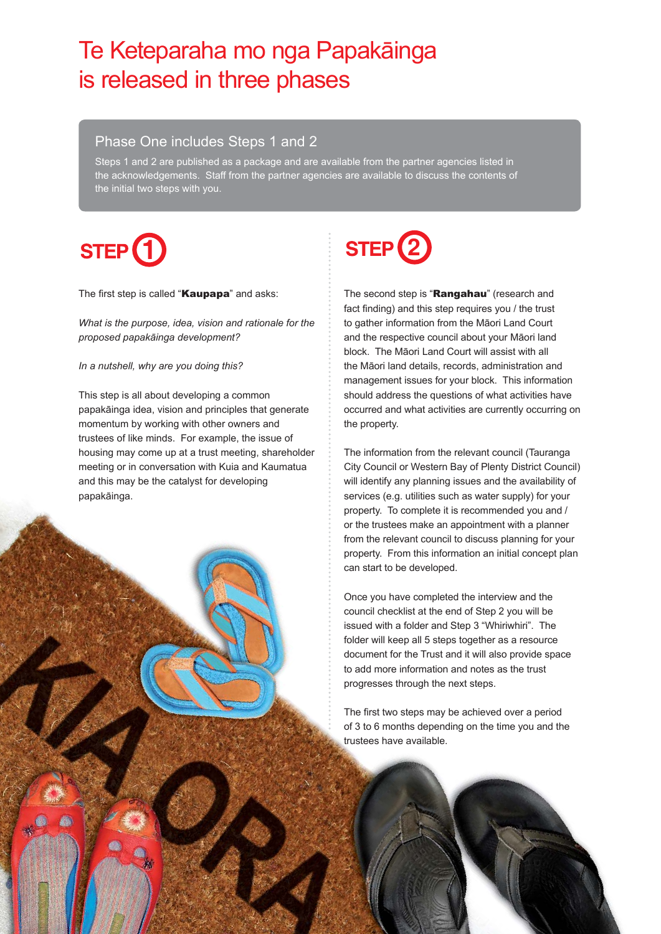## Te Keteparaha mo nga Papakāinga is released in three phases

## Phase One includes Steps 1 and 2

Steps 1 and 2 are published as a package and are available from the partner agencies listed in the acknowledgements. Staff from the partner agencies are available to discuss the contents of the initial two steps with you.

# STEP<sup>(1</sup>

The first step is called "Kaupapa" and asks:

*What is the purpose, idea, vision and rationale for the proposed papakāinga development?*

#### *In a nutshell, why are you doing this?*

This step is all about developing a common papakāinga idea, vision and principles that generate momentum by working with other owners and trustees of like minds. For example, the issue of housing may come up at a trust meeting, shareholder meeting or in conversation with Kuia and Kaumatua and this may be the catalyst for developing papakāinga.



The second step is "Rangahau" (research and fact finding) and this step requires you / the trust to gather information from the Māori Land Court and the respective council about your Māori land block. The Māori Land Court will assist with all the Māori land details, records, administration and management issues for your block. This information should address the questions of what activities have occurred and what activities are currently occurring on the property.

The information from the relevant council (Tauranga City Council or Western Bay of Plenty District Council) will identify any planning issues and the availability of services (e.g. utilities such as water supply) for your property. To complete it is recommended you and / or the trustees make an appointment with a planner from the relevant council to discuss planning for your property. From this information an initial concept plan can start to be developed.

Once you have completed the interview and the council checklist at the end of Step 2 you will be issued with a folder and Step 3 "Whiriwhiri". The folder will keep all 5 steps together as a resource document for the Trust and it will also provide space to add more information and notes as the trust progresses through the next steps.

The first two steps may be achieved over a period of 3 to 6 months depending on the time you and the trustees have available.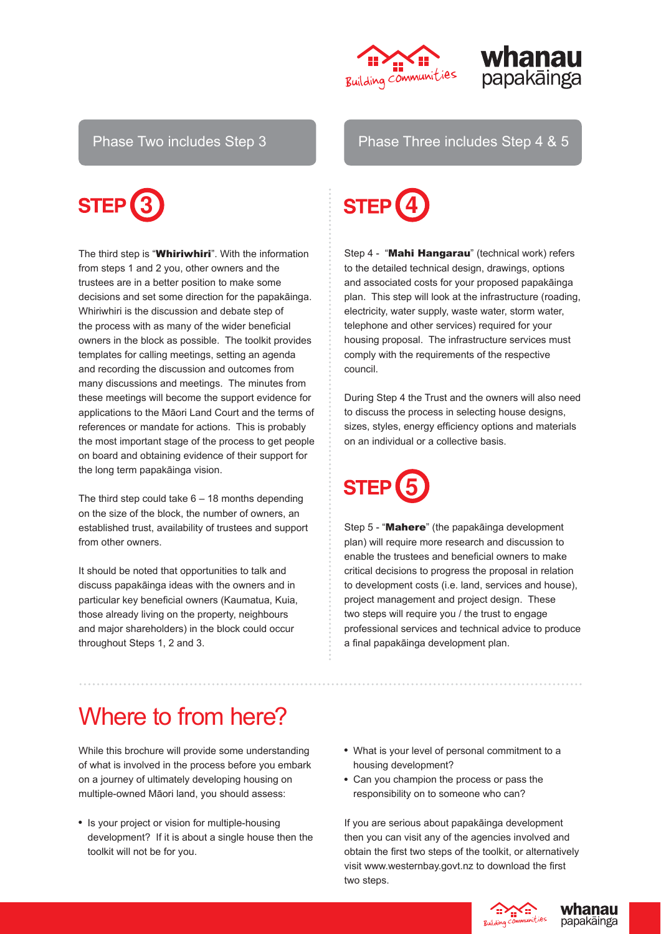





The third step is "Whiriwhiri". With the information from steps 1 and 2 you, other owners and the trustees are in a better position to make some decisions and set some direction for the papakāinga. Whiriwhiri is the discussion and debate step of the process with as many of the wider beneficial owners in the block as possible. The toolkit provides templates for calling meetings, setting an agenda and recording the discussion and outcomes from many discussions and meetings. The minutes from these meetings will become the support evidence for applications to the Māori Land Court and the terms of references or mandate for actions. This is probably the most important stage of the process to get people on board and obtaining evidence of their support for the long term papakāinga vision.

The third step could take  $6 - 18$  months depending on the size of the block, the number of owners, an established trust, availability of trustees and support from other owners.

It should be noted that opportunities to talk and discuss papakāinga ideas with the owners and in particular key beneficial owners (Kaumatua, Kuia, those already living on the property, neighbours and major shareholders) in the block could occur throughout Steps 1, 2 and 3.

Phase Two includes Step 3 Phase Three includes Step 4 & 5



Step 4 - "Mahi Hangarau" (technical work) refers to the detailed technical design, drawings, options and associated costs for your proposed papakāinga plan. This step will look at the infrastructure (roading, electricity, water supply, waste water, storm water, telephone and other services) required for your housing proposal. The infrastructure services must comply with the requirements of the respective council.

During Step 4 the Trust and the owners will also need to discuss the process in selecting house designs, sizes, styles, energy efficiency options and materials on an individual or a collective basis.



Step 5 - "Mahere" (the papakāinga development plan) will require more research and discussion to enable the trustees and beneficial owners to make critical decisions to progress the proposal in relation to development costs (i.e. land, services and house), project management and project design. These two steps will require you / the trust to engage professional services and technical advice to produce a final papakāinga development plan.

## Where to from here?

While this brochure will provide some understanding of what is involved in the process before you embark on a journey of ultimately developing housing on multiple-owned Māori land, you should assess:

- Is your project or vision for multiple-housing development? If it is about a single house then the toolkit will not be for you.
- What is your level of personal commitment to a housing development?
- Can you champion the process or pass the responsibility on to someone who can?

If you are serious about papakāinga development then you can visit any of the agencies involved and obtain the first two steps of the toolkit, or alternatively visit www.westernbay.govt.nz to download the first two steps.